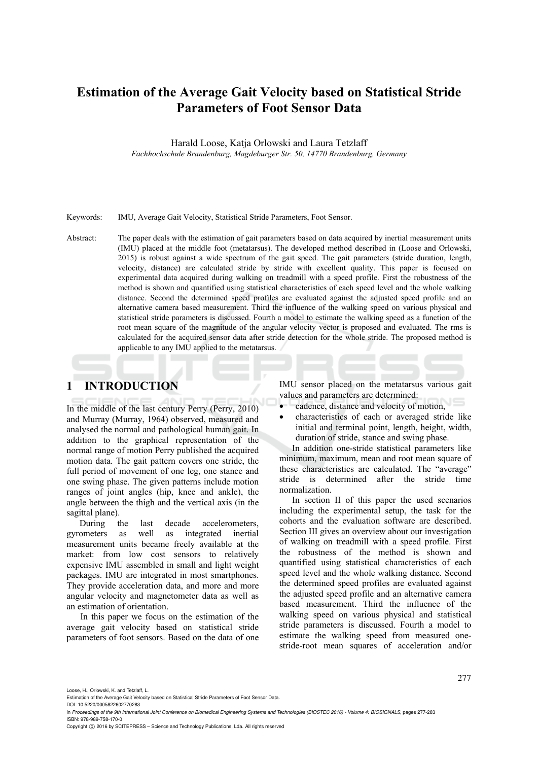# **Estimation of the Average Gait Velocity based on Statistical Stride Parameters of Foot Sensor Data**

Harald Loose, Katja Orlowski and Laura Tetzlaff *Fachhochschule Brandenburg, Magdeburger Str. 50, 14770 Brandenburg, Germany* 

Keywords: IMU, Average Gait Velocity, Statistical Stride Parameters, Foot Sensor.

Abstract: The paper deals with the estimation of gait parameters based on data acquired by inertial measurement units (IMU) placed at the middle foot (metatarsus). The developed method described in (Loose and Orlowski, 2015) is robust against a wide spectrum of the gait speed. The gait parameters (stride duration, length, velocity, distance) are calculated stride by stride with excellent quality. This paper is focused on experimental data acquired during walking on treadmill with a speed profile. First the robustness of the method is shown and quantified using statistical characteristics of each speed level and the whole walking distance. Second the determined speed profiles are evaluated against the adjusted speed profile and an alternative camera based measurement. Third the influence of the walking speed on various physical and statistical stride parameters is discussed. Fourth a model to estimate the walking speed as a function of the root mean square of the magnitude of the angular velocity vector is proposed and evaluated. The rms is calculated for the acquired sensor data after stride detection for the whole stride. The proposed method is applicable to any IMU applied to the metatarsus.

# **1 INTRODUCTION**

In the middle of the last century Perry (Perry, 2010) and Murray (Murray, 1964) observed, measured and analysed the normal and pathological human gait. In addition to the graphical representation of the normal range of motion Perry published the acquired motion data. The gait pattern covers one stride, the full period of movement of one leg, one stance and one swing phase. The given patterns include motion ranges of joint angles (hip, knee and ankle), the angle between the thigh and the vertical axis (in the sagittal plane).

During the last decade accelerometers, gyrometers as well as integrated inertial measurement units became freely available at the market: from low cost sensors to relatively expensive IMU assembled in small and light weight packages. IMU are integrated in most smartphones. They provide acceleration data, and more and more angular velocity and magnetometer data as well as an estimation of orientation.

In this paper we focus on the estimation of the average gait velocity based on statistical stride parameters of foot sensors. Based on the data of one IMU sensor placed on the metatarsus various gait values and parameters are determined:

- cadence, distance and velocity of motion,
- characteristics of each or averaged stride like initial and terminal point, length, height, width, duration of stride, stance and swing phase.

In addition one-stride statistical parameters like minimum, maximum, mean and root mean square of these characteristics are calculated. The "average" stride is determined after the stride time normalization.

In section II of this paper the used scenarios including the experimental setup, the task for the cohorts and the evaluation software are described. Section III gives an overview about our investigation of walking on treadmill with a speed profile. First the robustness of the method is shown and quantified using statistical characteristics of each speed level and the whole walking distance. Second the determined speed profiles are evaluated against the adjusted speed profile and an alternative camera based measurement. Third the influence of the walking speed on various physical and statistical stride parameters is discussed. Fourth a model to estimate the walking speed from measured onestride-root mean squares of acceleration and/or

Loose, H., Orlowski, K. and Tetzlaff, L.

DOI: 10.5220/0005822602770283 In *Proceedings of the 9th International Joint Conference on Biomedical Engineering Systems and Technologies (BIOSTEC 2016) - Volume 4: BIOSIGNALS*, pages 277-283

ISBN: 978-989-758-170-0

Estimation of the Average Gait Velocity based on Statistical Stride Parameters of Foot Sensor Data.

Copyright © 2016 by SCITEPRESS - Science and Technology Publications, Lda. All rights reserved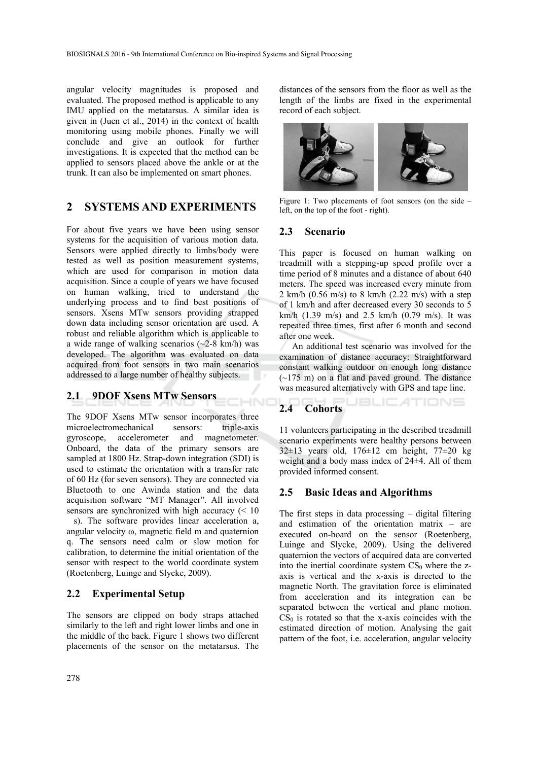angular velocity magnitudes is proposed and evaluated. The proposed method is applicable to any IMU applied on the metatarsus. A similar idea is given in (Juen et al., 2014) in the context of health monitoring using mobile phones. Finally we will conclude and give an outlook for further investigations. It is expected that the method can be applied to sensors placed above the ankle or at the trunk. It can also be implemented on smart phones.

# **2 SYSTEMS AND EXPERIMENTS**

For about five years we have been using sensor systems for the acquisition of various motion data. Sensors were applied directly to limbs/body were tested as well as position measurement systems, which are used for comparison in motion data acquisition. Since a couple of years we have focused on human walking, tried to understand the underlying process and to find best positions of sensors. Xsens MTw sensors providing strapped down data including sensor orientation are used. A robust and reliable algorithm which is applicable to a wide range of walking scenarios  $(\sim 2-8 \text{ km/h})$  was developed. The algorithm was evaluated on data acquired from foot sensors in two main scenarios addressed to a large number of healthy subjects.

### **2.1 9DOF Xsens MTw Sensors**

The 9DOF Xsens MTw sensor incorporates three microelectromechanical sensors: triple-axis gyroscope, accelerometer and magnetometer. Onboard, the data of the primary sensors are sampled at 1800 Hz. Strap-down integration (SDI) is used to estimate the orientation with a transfer rate of 60 Hz (for seven sensors). They are connected via Bluetooth to one Awinda station and the data acquisition software "MT Manager". All involved sensors are synchronized with high accuracy  $\approx 10$ s). The software provides linear acceleration a, angular velocity ω, magnetic field m and quaternion q. The sensors need calm or slow motion for calibration, to determine the initial orientation of the sensor with respect to the world coordinate system (Roetenberg, Luinge and Slycke, 2009).

### **2.2 Experimental Setup**

The sensors are clipped on body straps attached similarly to the left and right lower limbs and one in the middle of the back. Figure 1 shows two different placements of the sensor on the metatarsus. The

distances of the sensors from the floor as well as the length of the limbs are fixed in the experimental record of each subject.



Figure 1: Two placements of foot sensors (on the side – left, on the top of the foot - right).

### **2.3 Scenario**

This paper is focused on human walking on treadmill with a stepping-up speed profile over a time period of 8 minutes and a distance of about 640 meters. The speed was increased every minute from 2 km/h  $(0.56 \text{ m/s})$  to 8 km/h  $(2.22 \text{ m/s})$  with a step of 1 km/h and after decreased every 30 seconds to 5 km/h (1.39 m/s) and 2.5 km/h (0.79 m/s). It was repeated three times, first after 6 month and second after one week.

An additional test scenario was involved for the examination of distance accuracy: Straightforward constant walking outdoor on enough long distance  $(-175 \text{ m})$  on a flat and paved ground. The distance was measured alternatively with GPS and tape line.

**JBLIC ATIONS** 

# **2.4 Cohorts**

HNC

11 volunteers participating in the described treadmill scenario experiments were healthy persons between  $32\pm13$  years old,  $176\pm12$  cm height,  $77\pm20$  kg weight and a body mass index of 24±4. All of them provided informed consent.

### **2.5 Basic Ideas and Algorithms**

The first steps in data processing – digital filtering and estimation of the orientation matrix – are executed on-board on the sensor (Roetenberg, Luinge and Slycke, 2009). Using the delivered quaternion the vectors of acquired data are converted into the inertial coordinate system  $CS_0$  where the zaxis is vertical and the x-axis is directed to the magnetic North. The gravitation force is eliminated from acceleration and its integration can be separated between the vertical and plane motion.  $CS<sub>0</sub>$  is rotated so that the x-axis coincides with the estimated direction of motion. Analysing the gait pattern of the foot, i.e. acceleration, angular velocity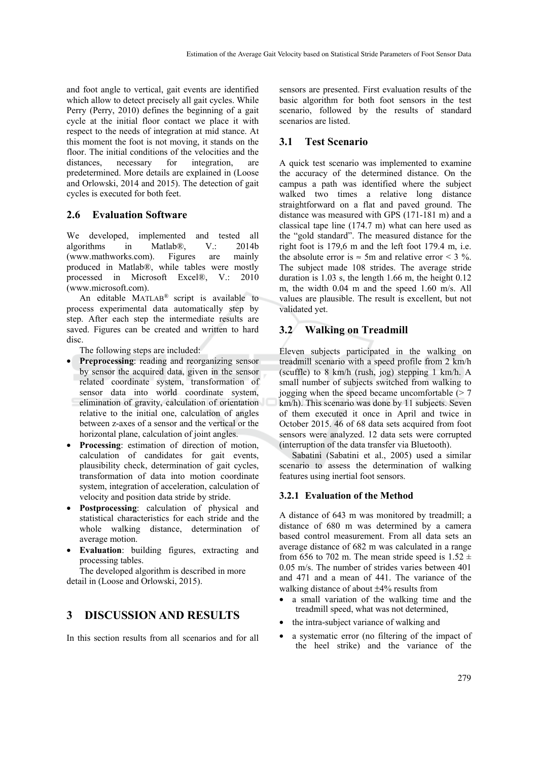and foot angle to vertical, gait events are identified which allow to detect precisely all gait cycles. While Perry (Perry, 2010) defines the beginning of a gait cycle at the initial floor contact we place it with respect to the needs of integration at mid stance. At this moment the foot is not moving, it stands on the floor. The initial conditions of the velocities and the distances, necessary for integration, are predetermined. More details are explained in (Loose and Orlowski, 2014 and 2015). The detection of gait cycles is executed for both feet.

#### **2.6 Evaluation Software**

We developed, implemented and tested all algorithms in Matlab®, V.: 2014b (www.mathworks.com). Figures are mainly produced in Matlab®, while tables were mostly processed in Microsoft Excel®, V.: 2010 (www.microsoft.com).

An editable MATLAB® script is available to process experimental data automatically step by step. After each step the intermediate results are saved. Figures can be created and written to hard disc.

The following steps are included:

- **Preprocessing**: reading and reorganizing sensor by sensor the acquired data, given in the sensor related coordinate system, transformation of sensor data into world coordinate system, elimination of gravity, calculation of orientation relative to the initial one, calculation of angles between z-axes of a sensor and the vertical or the horizontal plane, calculation of joint angles.
- **Processing**: estimation of direction of motion, calculation of candidates for gait events, plausibility check, determination of gait cycles, transformation of data into motion coordinate system, integration of acceleration, calculation of velocity and position data stride by stride.
- **Postprocessing**: calculation of physical and statistical characteristics for each stride and the whole walking distance, determination of average motion.
- **Evaluation**: building figures, extracting and processing tables.

The developed algorithm is described in more detail in (Loose and Orlowski, 2015).

## **3 DISCUSSION AND RESULTS**

In this section results from all scenarios and for all

sensors are presented. First evaluation results of the basic algorithm for both foot sensors in the test scenario, followed by the results of standard scenarios are listed.

#### **3.1 Test Scenario**

A quick test scenario was implemented to examine the accuracy of the determined distance. On the campus a path was identified where the subject walked two times a relative long distance straightforward on a flat and paved ground. The distance was measured with GPS (171-181 m) and a classical tape line (174.7 m) what can here used as the "gold standard". The measured distance for the right foot is 179,6 m and the left foot 179.4 m, i.e. the absolute error is  $\approx$  5m and relative error < 3 %. The subject made 108 strides. The average stride duration is 1.03 s, the length 1.66 m, the height 0.12 m, the width 0.04 m and the speed 1.60 m/s. All values are plausible. The result is excellent, but not validated yet.

### **3.2 Walking on Treadmill**

Eleven subjects participated in the walking on treadmill scenario with a speed profile from 2 km/h (scuffle) to 8 km/h (rush, jog) stepping 1 km/h. A small number of subjects switched from walking to jogging when the speed became uncomfortable  $(2 \times 7)$ km/h). This scenario was done by 11 subjects. Seven of them executed it once in April and twice in October 2015. 46 of 68 data sets acquired from foot sensors were analyzed. 12 data sets were corrupted (interruption of the data transfer via Bluetooth).

Sabatini (Sabatini et al., 2005) used a similar scenario to assess the determination of walking features using inertial foot sensors.

#### **3.2.1 Evaluation of the Method**

A distance of 643 m was monitored by treadmill; a distance of 680 m was determined by a camera based control measurement. From all data sets an average distance of 682 m was calculated in a range from 656 to 702 m. The mean stride speed is  $1.52 \pm$ 0.05 m/s. The number of strides varies between 401 and 471 and a mean of 441. The variance of the walking distance of about ±4% results from

- a small variation of the walking time and the treadmill speed, what was not determined,
- the intra-subject variance of walking and
- a systematic error (no filtering of the impact of the heel strike) and the variance of the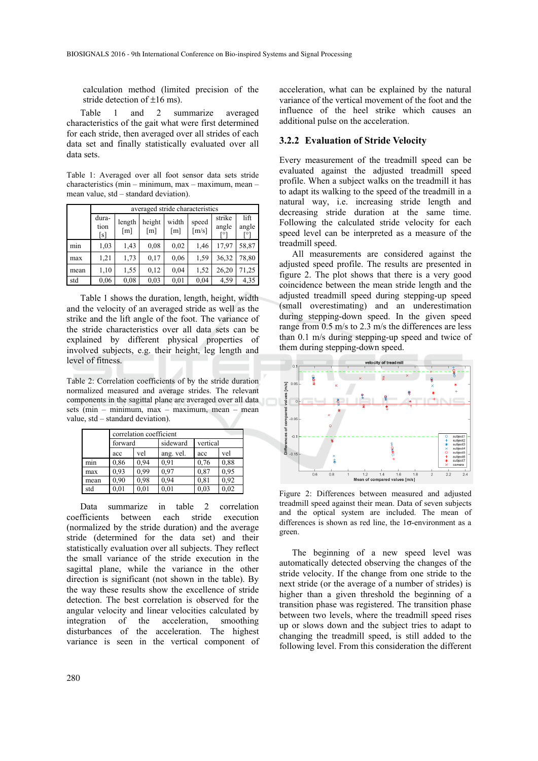calculation method (limited precision of the stride detection of  $\pm 16$  ms).

Table 1 and 2 summarize averaged characteristics of the gait what were first determined for each stride, then averaged over all strides of each data set and finally statistically evaluated over all data sets.

Table 1: Averaged over all foot sensor data sets stride characteristics (min – minimum, max – maximum, mean – mean value, std – standard deviation).

|      |                      | averaged stride characteristics |               |                            |                              |                                    |                      |  |  |
|------|----------------------|---------------------------------|---------------|----------------------------|------------------------------|------------------------------------|----------------------|--|--|
|      | dura-<br>tion<br>[s] | length<br>$\lceil m \rceil$     | height<br>[m] | width<br>$\lceil m \rceil$ | speed<br>$\lceil m/s \rceil$ | strike<br>angle<br>ro <sup>-</sup> | lift<br>angle<br>гот |  |  |
| min  | 1,03                 | 1,43                            | 0.08          | 0.02                       | 1,46                         | 17,97                              | 58,87                |  |  |
| max  | 1,21                 | 1,73                            | 0.17          | 0.06                       | 1,59                         | 36,32                              | 78,80                |  |  |
| mean | 1,10                 | 1,55                            | 0,12          | 0,04                       | 1,52                         | 26,20                              | 71,25                |  |  |
| std  | 0.06                 | 0,08                            | 0.03          | 0.01                       | 0,04                         | 4,59                               | 4,35                 |  |  |

Table 1 shows the duration, length, height, width and the velocity of an averaged stride as well as the strike and the lift angle of the foot. The variance of the stride characteristics over all data sets can be explained by different physical properties of involved subjects, e.g. their height, leg length and level of fitness.

Table 2: Correlation coefficients of by the stride duration normalized measured and average strides. The relevant components in the sagittal plane are averaged over all data sets (min – minimum, max – maximum, mean – mean value, std – standard deviation).

|      | correlation coefficient |            |           |          |           |  |  |  |
|------|-------------------------|------------|-----------|----------|-----------|--|--|--|
|      | forward                 |            | sideward  | vertical |           |  |  |  |
|      | acc                     | vel        | ang. vel. | acc      | vel       |  |  |  |
| mın  | 0,86                    | 0.94       | 0.91      | 0.76     | 0.88      |  |  |  |
| max  | 0.93                    | 0.99       | 0.97      | 0.87     | 0.95      |  |  |  |
| mean | 0.90                    | 0.98       | 0.94      | 0.81     | 0.92      |  |  |  |
| std  |                         | $\rm 0.01$ | $_{0.01}$ | 0.03     | $_{0.02}$ |  |  |  |

Data summarize in table 2 correlation coefficients between each stride execution (normalized by the stride duration) and the average stride (determined for the data set) and their statistically evaluation over all subjects. They reflect the small variance of the stride execution in the sagittal plane, while the variance in the other direction is significant (not shown in the table). By the way these results show the excellence of stride detection. The best correlation is observed for the angular velocity and linear velocities calculated by integration of the acceleration, smoothing disturbances of the acceleration. The highest variance is seen in the vertical component of

acceleration, what can be explained by the natural variance of the vertical movement of the foot and the influence of the heel strike which causes an additional pulse on the acceleration.

#### **3.2.2 Evaluation of Stride Velocity**

Every measurement of the treadmill speed can be evaluated against the adjusted treadmill speed profile. When a subject walks on the treadmill it has to adapt its walking to the speed of the treadmill in a natural way, i.e. increasing stride length and decreasing stride duration at the same time. Following the calculated stride velocity for each speed level can be interpreted as a measure of the treadmill speed.

All measurements are considered against the adjusted speed profile. The results are presented in figure 2. The plot shows that there is a very good coincidence between the mean stride length and the adjusted treadmill speed during stepping-up speed (small overestimating) and an underestimation during stepping-down speed. In the given speed range from 0.5 m/s to 2.3 m/s the differences are less than 0.1 m/s during stepping-up speed and twice of them during stepping-down speed.



Figure 2: Differences between measured and adjusted treadmill speed against their mean. Data of seven subjects and the optical system are included. The mean of differences is shown as red line, the 1σ-environment as a green.

The beginning of a new speed level was automatically detected observing the changes of the stride velocity. If the change from one stride to the next stride (or the average of a number of strides) is higher than a given threshold the beginning of a transition phase was registered. The transition phase between two levels, where the treadmill speed rises up or slows down and the subject tries to adapt to changing the treadmill speed, is still added to the following level. From this consideration the different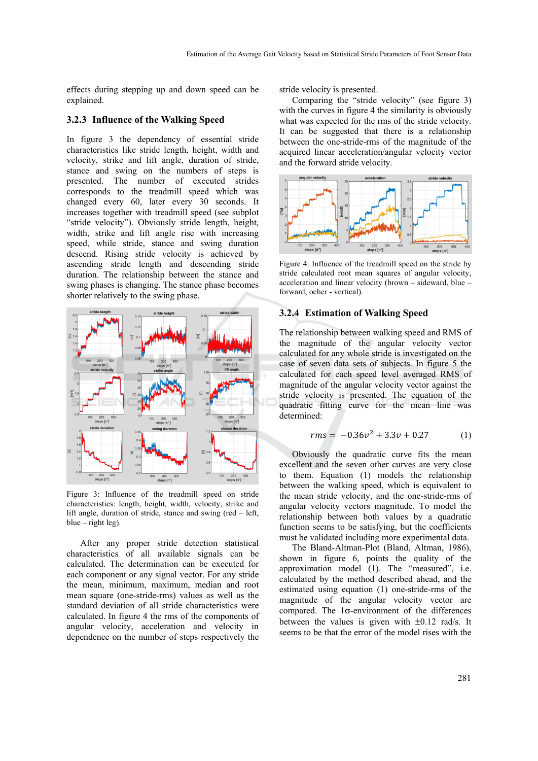effects during stepping up and down speed can be explained.

#### **3.2.3 Influence of the Walking Speed**

In figure 3 the dependency of essential stride characteristics like stride length, height, width and velocity, strike and lift angle, duration of stride, stance and swing on the numbers of steps is presented. The number of executed strides corresponds to the treadmill speed which was changed every 60, later every 30 seconds. It increases together with treadmill speed (see subplot "stride velocity"). Obviously stride length, height, width, strike and lift angle rise with increasing speed, while stride, stance and swing duration descend. Rising stride velocity is achieved by ascending stride length and descending stride duration. The relationship between the stance and swing phases is changing. The stance phase becomes shorter relatively to the swing phase.



Figure 3: Influence of the treadmill speed on stride characteristics: length, height, width, velocity, strike and lift angle, duration of stride, stance and swing (red – left, blue – right leg).

After any proper stride detection statistical characteristics of all available signals can be calculated. The determination can be executed for each component or any signal vector. For any stride the mean, minimum, maximum, median and root mean square (one-stride-rms) values as well as the standard deviation of all stride characteristics were calculated. In figure 4 the rms of the components of angular velocity, acceleration and velocity in dependence on the number of steps respectively the stride velocity is presented.

Comparing the "stride velocity" (see figure 3) with the curves in figure 4 the similarity is obviously what was expected for the rms of the stride velocity. It can be suggested that there is a relationship between the one-stride-rms of the magnitude of the acquired linear acceleration/angular velocity vector and the forward stride velocity.



Figure 4: Influence of the treadmill speed on the stride by stride calculated root mean squares of angular velocity, acceleration and linear velocity (brown – sideward, blue – forward, ocher - vertical).

#### **3.2.4 Estimation of Walking Speed**

The relationship between walking speed and RMS of the magnitude of the angular velocity vector calculated for any whole stride is investigated on the case of seven data sets of subjects. In figure 5 the calculated for each speed level averaged RMS of magnitude of the angular velocity vector against the stride velocity is presented. The equation of the quadratic fitting curve for the mean line was determined:

$$
rms = -0.36v^2 + 3.3v + 0.27
$$
 (1)

Obviously the quadratic curve fits the mean excellent and the seven other curves are very close to them. Equation (1) models the relationship between the walking speed, which is equivalent to the mean stride velocity, and the one-stride-rms of angular velocity vectors magnitude. To model the relationship between both values by a quadratic function seems to be satisfying, but the coefficients must be validated including more experimental data.

The Bland-Altman-Plot (Bland, Altman, 1986), shown in figure 6, points the quality of the approximation model (1). The "measured", i.e. calculated by the method described ahead, and the estimated using equation (1) one-stride-rms of the magnitude of the angular velocity vector are compared. The 1σ-environment of the differences between the values is given with  $\pm 0.12$  rad/s. It seems to be that the error of the model rises with the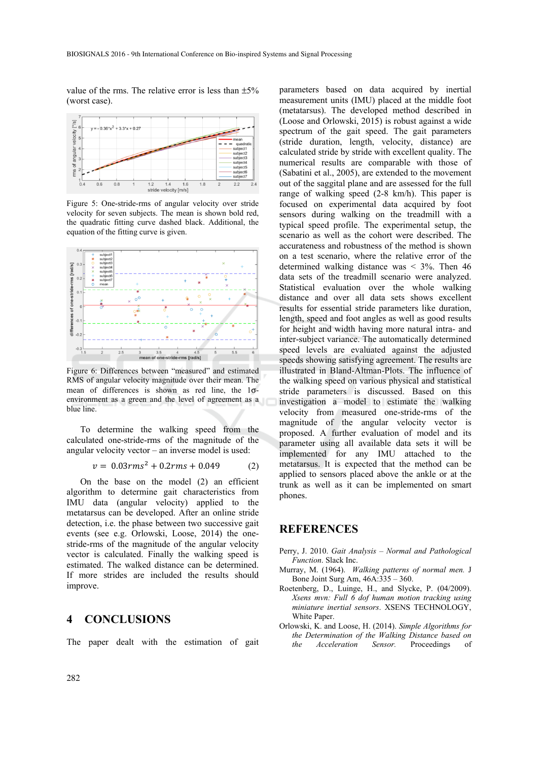value of the rms. The relative error is less than  $\pm 5\%$ (worst case).



Figure 5: One-stride-rms of angular velocity over stride velocity for seven subjects. The mean is shown bold red, the quadratic fitting curve dashed black. Additional, the equation of the fitting curve is given.



Figure 6: Differences between "measured" and estimated RMS of angular velocity magnitude over their mean. The mean of differences is shown as red line, the 1σenvironment as a green and the level of agreement as a blue line.

To determine the walking speed from the calculated one-stride-rms of the magnitude of the angular velocity vector – an inverse model is used:

$$
v = 0.03 \, \text{rms}^2 + 0.2 \, \text{rms} + 0.049 \tag{2}
$$

On the base on the model (2) an efficient algorithm to determine gait characteristics from IMU data (angular velocity) applied to the metatarsus can be developed. After an online stride detection, i.e. the phase between two successive gait events (see e.g. Orlowski, Loose, 2014) the onestride-rms of the magnitude of the angular velocity vector is calculated. Finally the walking speed is estimated. The walked distance can be determined. If more strides are included the results should improve.

### **4 CONCLUSIONS**

The paper dealt with the estimation of gait

parameters based on data acquired by inertial measurement units (IMU) placed at the middle foot (metatarsus). The developed method described in (Loose and Orlowski, 2015) is robust against a wide spectrum of the gait speed. The gait parameters (stride duration, length, velocity, distance) are calculated stride by stride with excellent quality. The numerical results are comparable with those of (Sabatini et al., 2005), are extended to the movement out of the saggital plane and are assessed for the full range of walking speed (2-8 km/h). This paper is focused on experimental data acquired by foot sensors during walking on the treadmill with a typical speed profile. The experimental setup, the scenario as well as the cohort were described. The accurateness and robustness of the method is shown on a test scenario, where the relative error of the determined walking distance was  $\leq$  3%. Then 46 data sets of the treadmill scenario were analyzed. Statistical evaluation over the whole walking distance and over all data sets shows excellent results for essential stride parameters like duration, length, speed and foot angles as well as good results for height and width having more natural intra- and inter-subject variance. The automatically determined speed levels are evaluated against the adjusted speeds showing satisfying agreement. The results are illustrated in Bland-Altman-Plots. The influence of the walking speed on various physical and statistical stride parameters is discussed. Based on this investigation a model to estimate the walking velocity from measured one-stride-rms of the magnitude of the angular velocity vector is proposed. A further evaluation of model and its parameter using all available data sets it will be implemented for any IMU attached to the metatarsus. It is expected that the method can be applied to sensors placed above the ankle or at the trunk as well as it can be implemented on smart phones.

# **REFERENCES**

- Perry, J. 2010. *Gait Analysis Normal and Pathological Function*. Slack Inc.
- Murray, M. (1964). *Walking patterns of normal men.* J Bone Joint Surg Am, 46A:335 – 360.
- Roetenberg, D., Luinge, H., and Slycke, P. (04/2009). *Xsens mvn: Full 6 dof human motion tracking using miniature inertial sensors*. XSENS TECHNOLOGY, White Paper.
- Orlowski, K. and Loose, H. (2014). *Simple Algorithms for the Determination of the Walking Distance based on the Acceleration Sensor.* Proceedings of